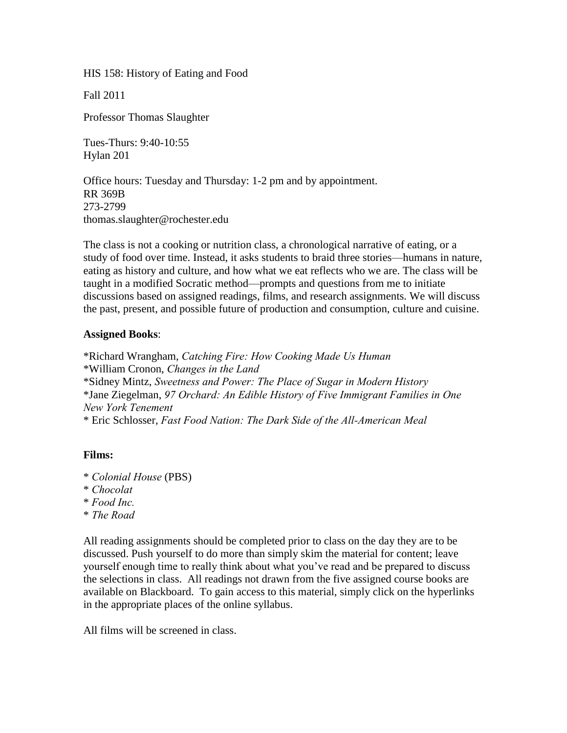HIS 158: History of Eating and Food

Fall 2011

Professor Thomas Slaughter

Tues-Thurs: 9:40-10:55 Hylan 201

Office hours: Tuesday and Thursday: 1-2 pm and by appointment. RR 369B 273-2799 thomas.slaughter@rochester.edu

The class is not a cooking or nutrition class, a chronological narrative of eating, or a study of food over time. Instead, it asks students to braid three stories—humans in nature, eating as history and culture, and how what we eat reflects who we are. The class will be taught in a modified Socratic method—prompts and questions from me to initiate discussions based on assigned readings, films, and research assignments. We will discuss the past, present, and possible future of production and consumption, culture and cuisine.

### **Assigned Books**:

\*Richard Wrangham, *Catching Fire: How Cooking Made Us Human* \*William Cronon, *Changes in the Land* \*Sidney Mintz, *Sweetness and Power: The Place of Sugar in Modern History* \*Jane Ziegelman, *97 Orchard: An Edible History of Five Immigrant Families in One New York Tenement* \* Eric Schlosser, *Fast Food Nation: The Dark Side of the All-American Meal*

# **Films:**

- \* *Colonial House* (PBS)
- \* *Chocolat*
- \* *Food Inc.*
- \* *The Road*

All reading assignments should be completed prior to class on the day they are to be discussed. Push yourself to do more than simply skim the material for content; leave yourself enough time to really think about what you've read and be prepared to discuss the selections in class. All readings not drawn from the five assigned course books are available on Blackboard. To gain access to this material, simply click on the hyperlinks in the appropriate places of the online syllabus.

All films will be screened in class.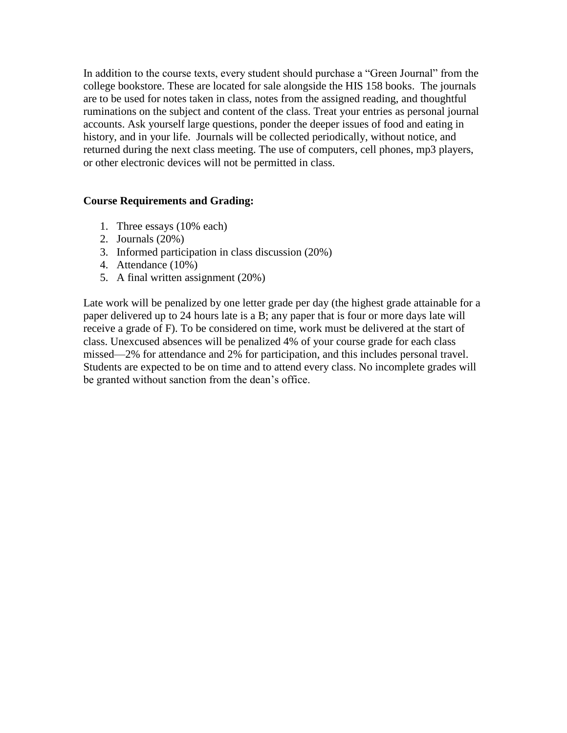In addition to the course texts, every student should purchase a "Green Journal" from the college bookstore. These are located for sale alongside the HIS 158 books. The journals are to be used for notes taken in class, notes from the assigned reading, and thoughtful ruminations on the subject and content of the class. Treat your entries as personal journal accounts. Ask yourself large questions, ponder the deeper issues of food and eating in history, and in your life. Journals will be collected periodically, without notice, and returned during the next class meeting. The use of computers, cell phones, mp3 players, or other electronic devices will not be permitted in class.

# **Course Requirements and Grading:**

- 1. Three essays (10% each)
- 2. Journals (20%)
- 3. Informed participation in class discussion (20%)
- 4. Attendance (10%)
- 5. A final written assignment (20%)

Late work will be penalized by one letter grade per day (the highest grade attainable for a paper delivered up to 24 hours late is a B; any paper that is four or more days late will receive a grade of F). To be considered on time, work must be delivered at the start of class. Unexcused absences will be penalized 4% of your course grade for each class missed—2% for attendance and 2% for participation, and this includes personal travel. Students are expected to be on time and to attend every class. No incomplete grades will be granted without sanction from the dean's office.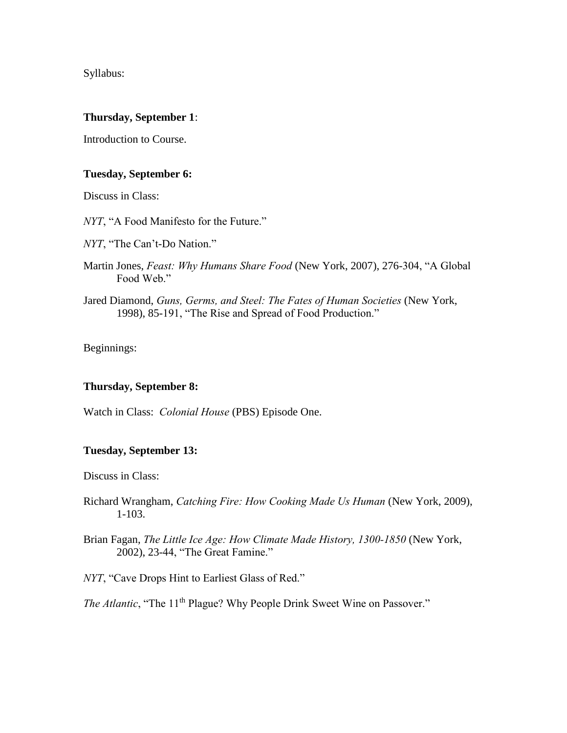Syllabus:

### **Thursday, September 1**:

Introduction to Course.

### **Tuesday, September 6:**

Discuss in Class:

*NYT*, "A Food Manifesto for the Future."

*NYT*, "The Can't-Do Nation."

- Martin Jones, *Feast: Why Humans Share Food* (New York, 2007), 276-304, "A Global Food Web."
- Jared Diamond, *Guns, Germs, and Steel: The Fates of Human Societies* (New York, 1998), 85-191, "The Rise and Spread of Food Production."

Beginnings:

#### **Thursday, September 8:**

Watch in Class: *Colonial House* (PBS) Episode One.

#### **Tuesday, September 13:**

Discuss in Class:

- Richard Wrangham, *Catching Fire: How Cooking Made Us Human* (New York, 2009), 1-103.
- Brian Fagan, *The Little Ice Age: How Climate Made History, 1300-1850* (New York, 2002), 23-44, "The Great Famine."

*NYT*, "Cave Drops Hint to Earliest Glass of Red."

*The Atlantic*, "The 11<sup>th</sup> Plague? Why People Drink Sweet Wine on Passover."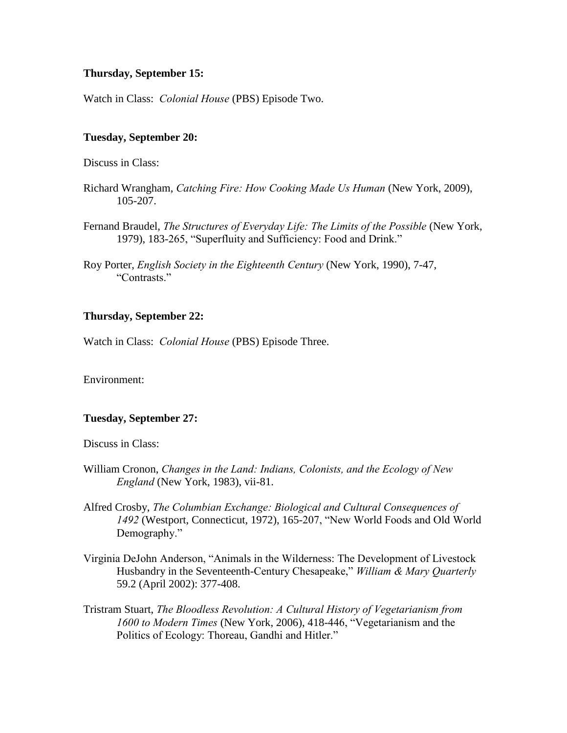### **Thursday, September 15:**

Watch in Class: *Colonial House* (PBS) Episode Two.

### **Tuesday, September 20:**

Discuss in Class:

- Richard Wrangham, *Catching Fire: How Cooking Made Us Human* (New York, 2009), 105-207.
- Fernand Braudel, *The Structures of Everyday Life: The Limits of the Possible* (New York, 1979), 183-265, "Superfluity and Sufficiency: Food and Drink."
- Roy Porter, *English Society in the Eighteenth Century* (New York, 1990), 7-47, "Contrasts."

### **Thursday, September 22:**

Watch in Class: *Colonial House* (PBS) Episode Three.

Environment:

#### **Tuesday, September 27:**

Discuss in Class:

- William Cronon, *Changes in the Land: Indians, Colonists, and the Ecology of New England* (New York, 1983), vii-81.
- Alfred Crosby, *The Columbian Exchange: Biological and Cultural Consequences of 1492* (Westport, Connecticut, 1972), 165-207, "New World Foods and Old World Demography."
- Virginia DeJohn Anderson, "Animals in the Wilderness: The Development of Livestock Husbandry in the Seventeenth-Century Chesapeake," *William & Mary Quarterly* 59.2 (April 2002): 377-408.
- Tristram Stuart, *The Bloodless Revolution: A Cultural History of Vegetarianism from 1600 to Modern Times* (New York, 2006), 418-446, "Vegetarianism and the Politics of Ecology: Thoreau, Gandhi and Hitler."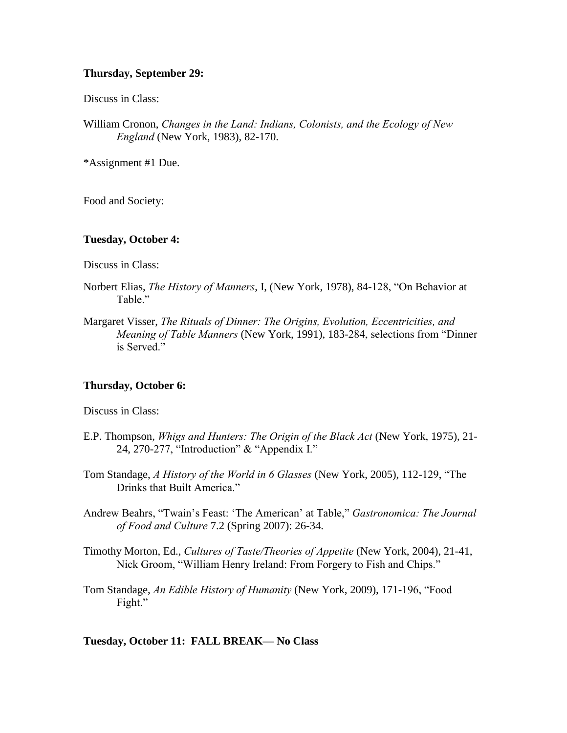### **Thursday, September 29:**

Discuss in Class:

William Cronon, *Changes in the Land: Indians, Colonists, and the Ecology of New England* (New York, 1983), 82-170.

\*Assignment #1 Due.

Food and Society:

#### **Tuesday, October 4:**

Discuss in Class:

- Norbert Elias, *The History of Manners*, I, (New York, 1978), 84-128, "On Behavior at Table."
- Margaret Visser, *The Rituals of Dinner: The Origins, Evolution, Eccentricities, and Meaning of Table Manners* (New York, 1991), 183-284, selections from "Dinner is Served."

#### **Thursday, October 6:**

Discuss in Class:

- E.P. Thompson, *Whigs and Hunters: The Origin of the Black Act* (New York, 1975), 21- 24, 270-277, "Introduction" & "Appendix I."
- Tom Standage, *A History of the World in 6 Glasses* (New York, 2005), 112-129, "The Drinks that Built America."
- Andrew Beahrs, "Twain's Feast: 'The American' at Table," *Gastronomica: The Journal of Food and Culture* 7.2 (Spring 2007): 26-34.
- Timothy Morton, Ed., *Cultures of Taste/Theories of Appetite* (New York, 2004), 21-41, Nick Groom, "William Henry Ireland: From Forgery to Fish and Chips."
- Tom Standage, *An Edible History of Humanity* (New York, 2009), 171-196, "Food Fight."

**Tuesday, October 11: FALL BREAK— No Class**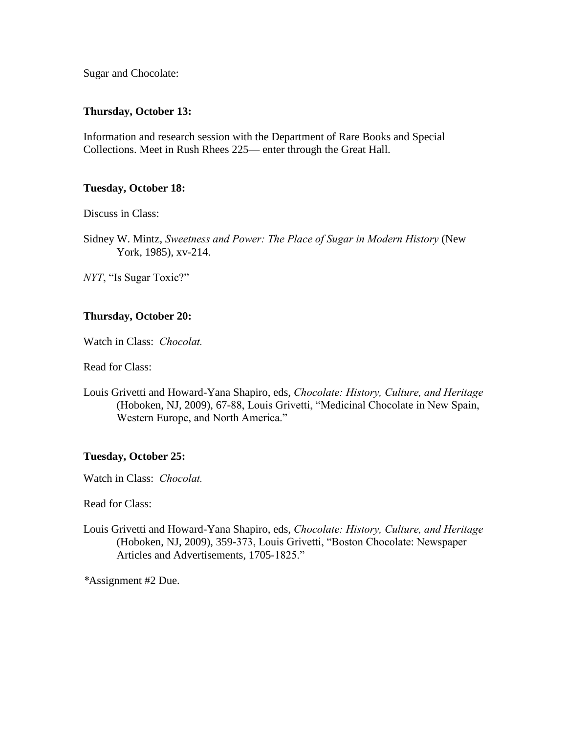Sugar and Chocolate:

### **Thursday, October 13:**

Information and research session with the Department of Rare Books and Special Collections. Meet in Rush Rhees 225— enter through the Great Hall.

### **Tuesday, October 18:**

Discuss in Class:

Sidney W. Mintz, *Sweetness and Power: The Place of Sugar in Modern History* (New York, 1985), xv-214.

*NYT*, "Is Sugar Toxic?"

# **Thursday, October 20:**

Watch in Class: *Chocolat.*

Read for Class:

Louis Grivetti and Howard-Yana Shapiro, eds, *Chocolate: History, Culture, and Heritage* (Hoboken, NJ, 2009), 67-88, Louis Grivetti, "Medicinal Chocolate in New Spain, Western Europe, and North America."

#### **Tuesday, October 25:**

Watch in Class: *Chocolat.*

Read for Class:

Louis Grivetti and Howard-Yana Shapiro, eds, *Chocolate: History, Culture, and Heritage* (Hoboken, NJ, 2009), 359-373, Louis Grivetti, "Boston Chocolate: Newspaper Articles and Advertisements, 1705-1825."

*\**Assignment #2 Due.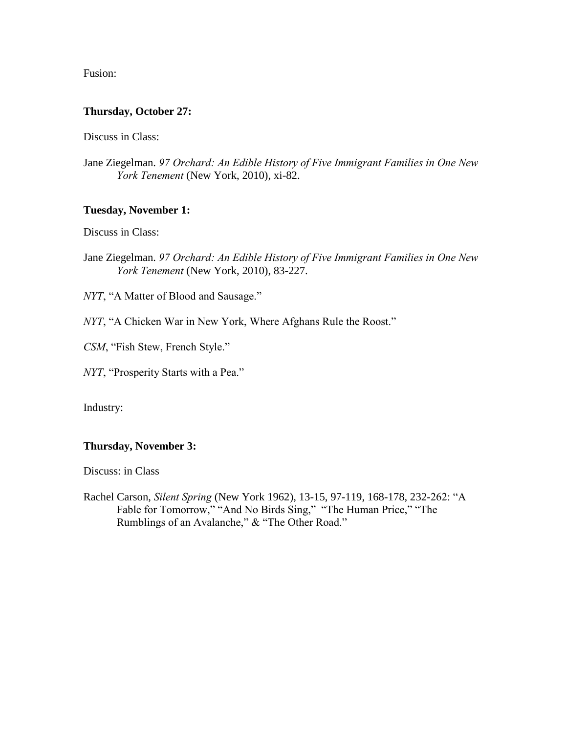Fusion:

# **Thursday, October 27:**

Discuss in Class:

Jane Ziegelman. *97 Orchard: An Edible History of Five Immigrant Families in One New York Tenement* (New York, 2010), xi-82.

# **Tuesday, November 1:**

Discuss in Class:

Jane Ziegelman. *97 Orchard: An Edible History of Five Immigrant Families in One New York Tenement* (New York, 2010), 83-227.

*NYT*, "A Matter of Blood and Sausage."

- *NYT*, "A Chicken War in New York, Where Afghans Rule the Roost."
- *CSM*, "Fish Stew, French Style."
- *NYT*, "Prosperity Starts with a Pea."

Industry:

# **Thursday, November 3:**

Discuss: in Class

Rachel Carson, *Silent Spring* (New York 1962), 13-15, 97-119, 168-178, 232-262: "A Fable for Tomorrow," "And No Birds Sing," "The Human Price," "The Rumblings of an Avalanche," & "The Other Road."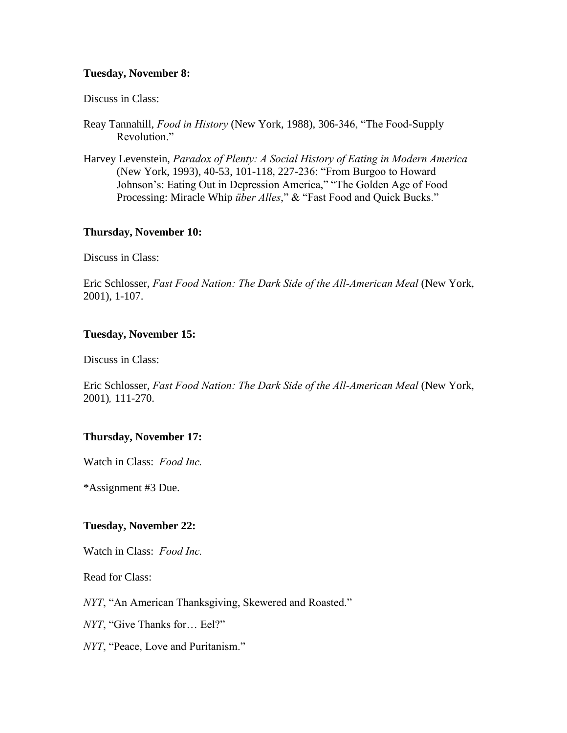### **Tuesday, November 8:**

#### Discuss in Class:

- Reay Tannahill, *Food in History* (New York, 1988), 306-346, "The Food-Supply Revolution."
- Harvey Levenstein, *Paradox of Plenty: A Social History of Eating in Modern America* (New York, 1993), 40-53, 101-118, 227-236: "From Burgoo to Howard Johnson's: Eating Out in Depression America," "The Golden Age of Food Processing: Miracle Whip *über Alles*," & "Fast Food and Quick Bucks."

#### **Thursday, November 10:**

Discuss in Class:

Eric Schlosser, *Fast Food Nation: The Dark Side of the All-American Meal* (New York, 2001), 1-107.

#### **Tuesday, November 15:**

Discuss in Class:

Eric Schlosser, *Fast Food Nation: The Dark Side of the All-American Meal* (New York, 2001)*,* 111-270.

#### **Thursday, November 17:**

Watch in Class: *Food Inc.*

\*Assignment #3 Due.

#### **Tuesday, November 22:**

Watch in Class: *Food Inc.*

Read for Class:

*NYT*, "An American Thanksgiving, Skewered and Roasted."

*NYT*, "Give Thanks for… Eel?"

*NYT*, "Peace, Love and Puritanism."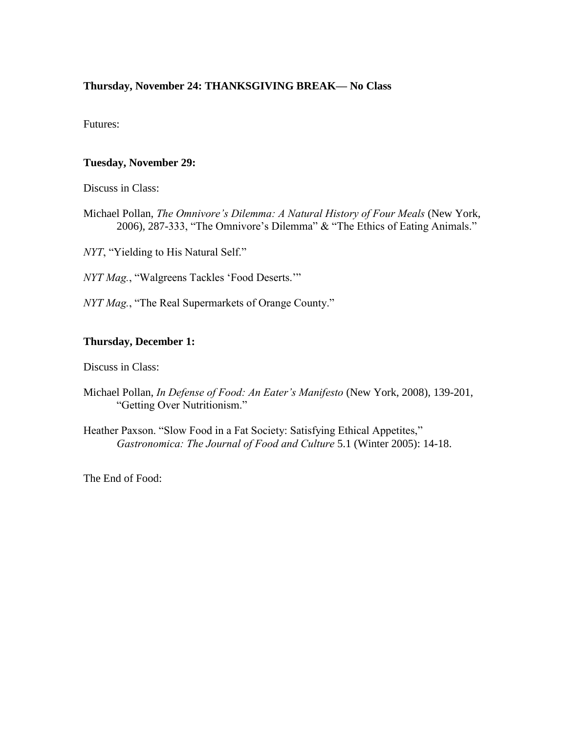# **Thursday, November 24: THANKSGIVING BREAK— No Class**

Futures:

# **Tuesday, November 29:**

Discuss in Class:

Michael Pollan, *The Omnivore's Dilemma: A Natural History of Four Meals* (New York, 2006), 287-333, "The Omnivore's Dilemma" & "The Ethics of Eating Animals."

*NYT*, "Yielding to His Natural Self."

*NYT Mag.*, "Walgreens Tackles 'Food Deserts.'"

*NYT Mag.*, "The Real Supermarkets of Orange County."

### **Thursday, December 1:**

Discuss in Class:

- Michael Pollan, *In Defense of Food: An Eater's Manifesto* (New York, 2008), 139-201, "Getting Over Nutritionism."
- Heather Paxson. "Slow Food in a Fat Society: Satisfying Ethical Appetites," *Gastronomica: The Journal of Food and Culture* 5.1 (Winter 2005): 14-18.

The End of Food: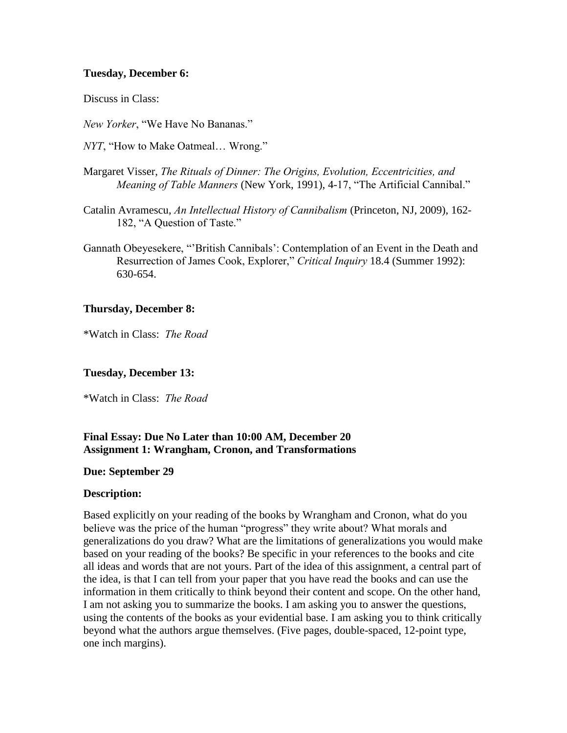# **Tuesday, December 6:**

Discuss in Class:

*New Yorker*, "We Have No Bananas."

*NYT*, "How to Make Oatmeal… Wrong."

- Margaret Visser, *The Rituals of Dinner: The Origins, Evolution, Eccentricities, and Meaning of Table Manners* (New York, 1991), 4-17, "The Artificial Cannibal."
- Catalin Avramescu, *An Intellectual History of Cannibalism* (Princeton, NJ, 2009), 162- 182, "A Question of Taste."
- Gannath Obeyesekere, "'British Cannibals': Contemplation of an Event in the Death and Resurrection of James Cook, Explorer," *Critical Inquiry* 18.4 (Summer 1992): 630-654.

# **Thursday, December 8:**

\*Watch in Class: *The Road*

### **Tuesday, December 13:**

\*Watch in Class: *The Road*

# **Final Essay: Due No Later than 10:00 AM, December 20 Assignment 1: Wrangham, Cronon, and Transformations**

#### **Due: September 29**

#### **Description:**

Based explicitly on your reading of the books by Wrangham and Cronon, what do you believe was the price of the human "progress" they write about? What morals and generalizations do you draw? What are the limitations of generalizations you would make based on your reading of the books? Be specific in your references to the books and cite all ideas and words that are not yours. Part of the idea of this assignment, a central part of the idea, is that I can tell from your paper that you have read the books and can use the information in them critically to think beyond their content and scope. On the other hand, I am not asking you to summarize the books. I am asking you to answer the questions, using the contents of the books as your evidential base. I am asking you to think critically beyond what the authors argue themselves. (Five pages, double-spaced, 12-point type, one inch margins).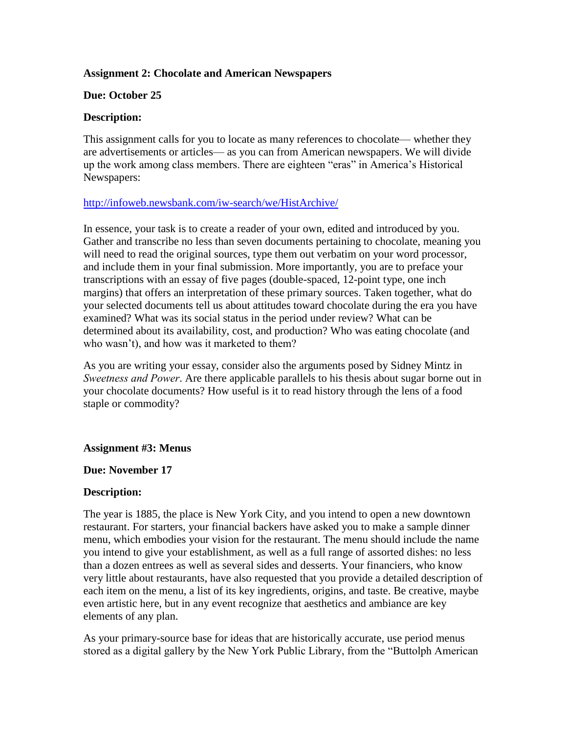# **Assignment 2: Chocolate and American Newspapers**

# **Due: October 25**

# **Description:**

This assignment calls for you to locate as many references to chocolate— whether they are advertisements or articles— as you can from American newspapers. We will divide up the work among class members. There are eighteen "eras" in America's Historical Newspapers:

# <http://infoweb.newsbank.com/iw-search/we/HistArchive/>

In essence, your task is to create a reader of your own, edited and introduced by you. Gather and transcribe no less than seven documents pertaining to chocolate, meaning you will need to read the original sources, type them out verbatim on your word processor, and include them in your final submission. More importantly, you are to preface your transcriptions with an essay of five pages (double-spaced, 12-point type, one inch margins) that offers an interpretation of these primary sources. Taken together, what do your selected documents tell us about attitudes toward chocolate during the era you have examined? What was its social status in the period under review? What can be determined about its availability, cost, and production? Who was eating chocolate (and who wasn't), and how was it marketed to them?

As you are writing your essay, consider also the arguments posed by Sidney Mintz in *Sweetness and Power*. Are there applicable parallels to his thesis about sugar borne out in your chocolate documents? How useful is it to read history through the lens of a food staple or commodity?

# **Assignment #3: Menus**

# **Due: November 17**

# **Description:**

The year is 1885, the place is New York City, and you intend to open a new downtown restaurant. For starters, your financial backers have asked you to make a sample dinner menu, which embodies your vision for the restaurant. The menu should include the name you intend to give your establishment, as well as a full range of assorted dishes: no less than a dozen entrees as well as several sides and desserts. Your financiers, who know very little about restaurants, have also requested that you provide a detailed description of each item on the menu, a list of its key ingredients, origins, and taste. Be creative, maybe even artistic here, but in any event recognize that aesthetics and ambiance are key elements of any plan.

As your primary-source base for ideas that are historically accurate, use period menus stored as a digital gallery by the New York Public Library, from the "Buttolph American